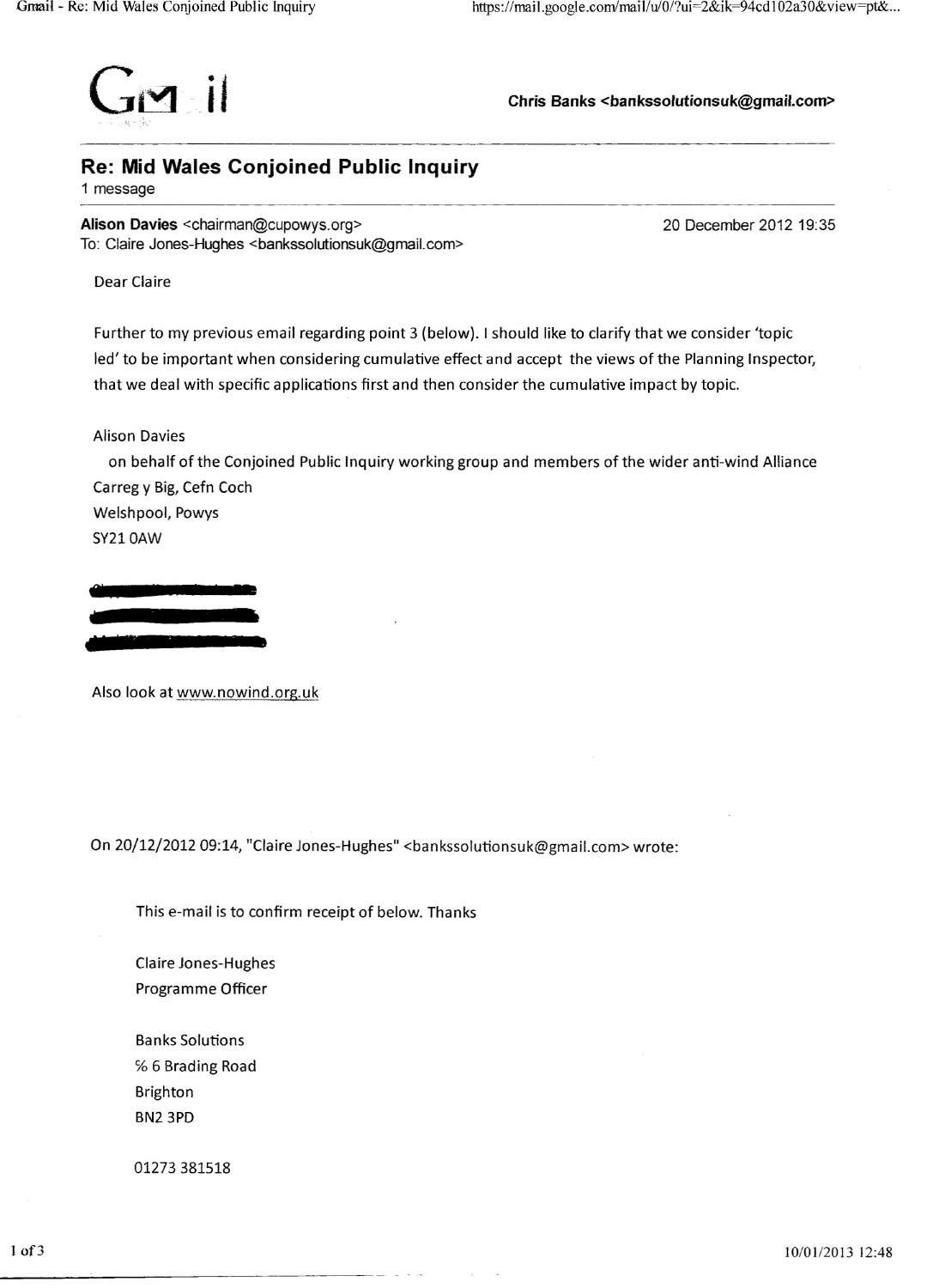

Ghris Banks **<br/>Stankssolutionsuk@gmail.com>**<br>
Chris Banks <br/> <br/> <br/>
Chris Banks <br/> <br/>
Chris Banks <br/> <br/>
Chris Banks <br/> <br/>
Chris Banks <br/> <br/> <br/> <br/> <br/> <br/> <br/> <br/> <br/> <br/>

## **Re: Mid Wales Conjoined Public Inquiry**

1 message

**Alison Davies** <chairman@cupowys.org> To: Claire Jones-Hughes <bankssolutionsuk@gmail.com> 20 December 2012 19:35

Dear Ciaire

Further to my previous email regarding point 3 (below). I should like to clarify that we consider 'topic led'to be important when considering cumulative effect and accept the views of the Planning Inspector, that we deal with specific applications first and then consider the cumulative impact by topic.

Alison Davies

on behalf of the Conjoined Public Inquiry working group and members of the wider anti-wind Alliance Carreg y Big, Cefn Coch Welshpool, Powys

SY210AW



Also look at www.nowind.org.uk

On 20/12/201209:14, "Claire Jones-Hughes" <bankssolutionsuk@gmail.com> wrote:

This e-mail is to confirm receipt of below. Thanks

Claire Jones-Hughes Programme Officer

Banks Solutions % 6 Brading Road Brighton BN23PD

01273 381518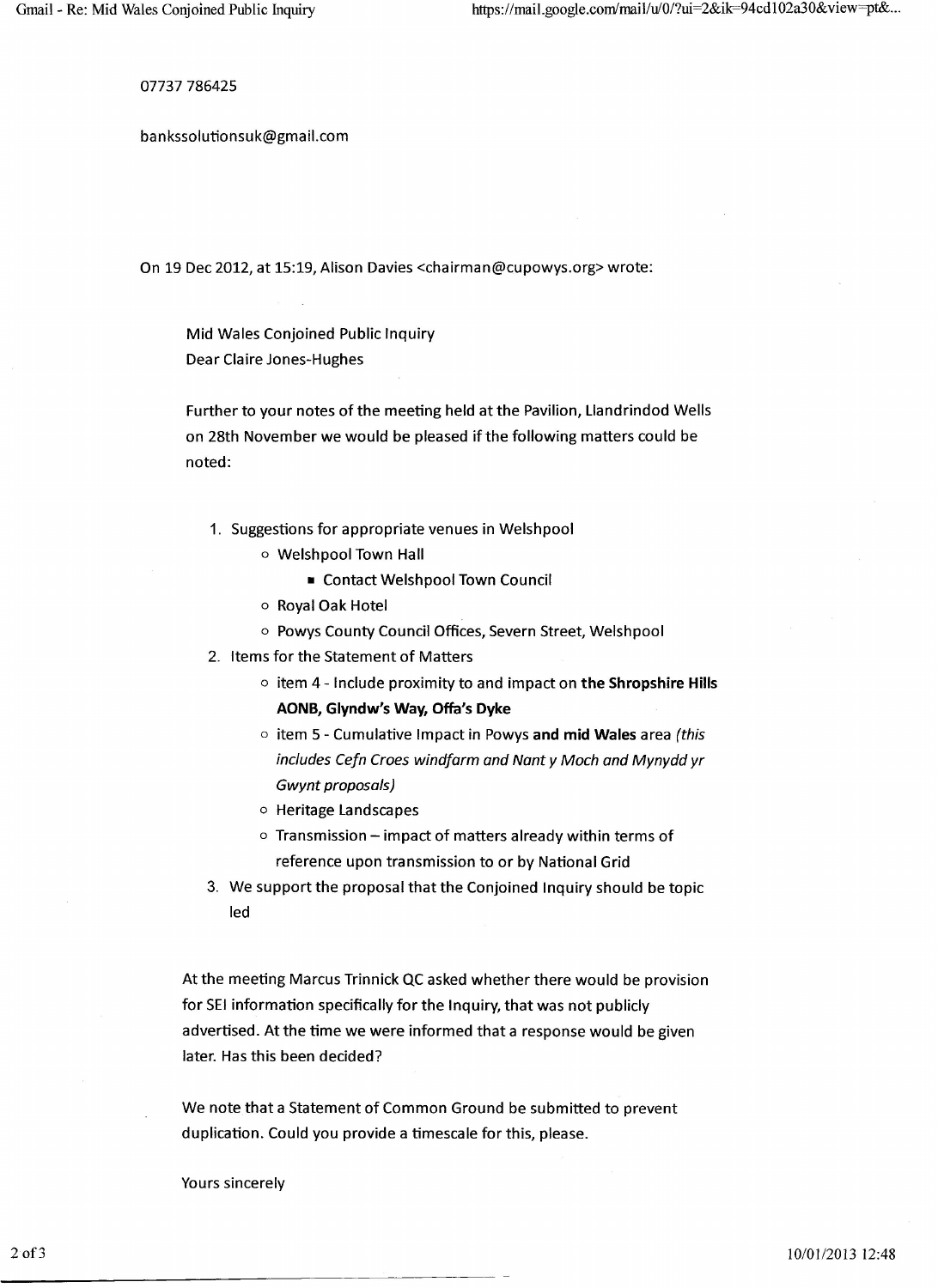07737 786425

bankssolutionsuk@gmail.com

On 19 Dec 2012, at 15:19, Alison Davies <chairman@cupowys.org> wrote:

Mid Wales Conjoined Public Inquiry Dear Claire Jones-Hughes

Further to your notes of the meeting held at the Pavilion, Uandrindod Wells on 28th November we would be pleased if the following matters could be noted:

- 1. Suggestions for appropriate venues in Welshpool
	- o Welshpool Town Hall
		- Contact Welshpool Town Council
	- o Royal Oak Hotel
	- o Powys County Council Offices, Severn Street, Welshpool
- 2. Items for the Statement of Matters
	- o item 4 Include proximity to and impact on **the Shropshire Hills AONB, Glyndw's Way, Offa's Dyke**
	- o item 5 Cumulative Impact in Powys **and mid Wales** area *(this includes Cefn Croes windfarm and Nant y Moch and Mynydd yr Gwynt proposals)*
	- o Heritage Landscapes
	- $\circ$  Transmission impact of matters already within terms of reference upon transmission to or by National Grid
- 3. We support the proposal that the Conjoined Inquiry should be topic led

At the meeting Marcus Trinnick QC asked whether there would be provision for SEI information specifically for the Inquiry, that was not publicly advertised. At the time we were informed that a response would be given later. Has this been decided?

We note that a Statement of Common Ground be submitted to prevent duplication. Could you provide a timescale for this, please.

Yours sincerely